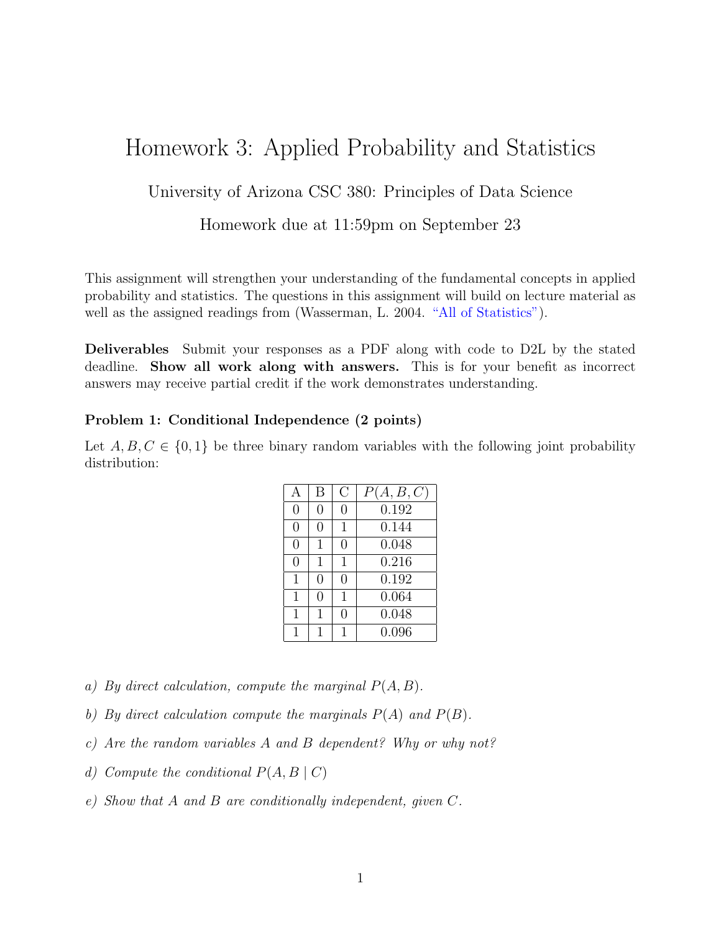# Homework 3: Applied Probability and Statistics

## University of Arizona CSC 380: Principles of Data Science

### Homework due at 11:59pm on September 23

This assignment will strengthen your understanding of the fundamental concepts in applied probability and statistics. The questions in this assignment will build on lecture material as well as the assigned readings from (Wasserman, L. 2004. ["All of Statistics"\)](https://link.springer.com/book/10.1007/978-0-387-21736-9).

Deliverables Submit your responses as a PDF along with code to D2L by the stated deadline. Show all work along with answers. This is for your benefit as incorrect answers may receive partial credit if the work demonstrates understanding.

#### Problem 1: Conditional Independence (2 points)

Let  $A, B, C \in \{0, 1\}$  be three binary random variables with the following joint probability distribution:

| А            | В            | C | P(A, B, C) |
|--------------|--------------|---|------------|
| $\Omega$     | 0            | 0 | 0.192      |
| 0            | 0            | 1 | 0.144      |
| 0            | $\mathbf{1}$ | 0 | 0.048      |
| 0            | $\mathbf{1}$ | 1 | 0.216      |
| 1            | 0            | 0 | 0.192      |
| $\mathbf{1}$ | 0            | 1 | 0.064      |
| 1            | 1            | 0 | 0.048      |
| $\mathbf{1}$ | 1            |   | 0.096      |

- a) By direct calculation, compute the marginal  $P(A, B)$ .
- b) By direct calculation compute the marginals  $P(A)$  and  $P(B)$ .
- c) Are the random variables A and B dependent? Why or why not?
- d) Compute the conditional  $P(A, B \mid C)$
- e) Show that A and B are conditionally independent, given C.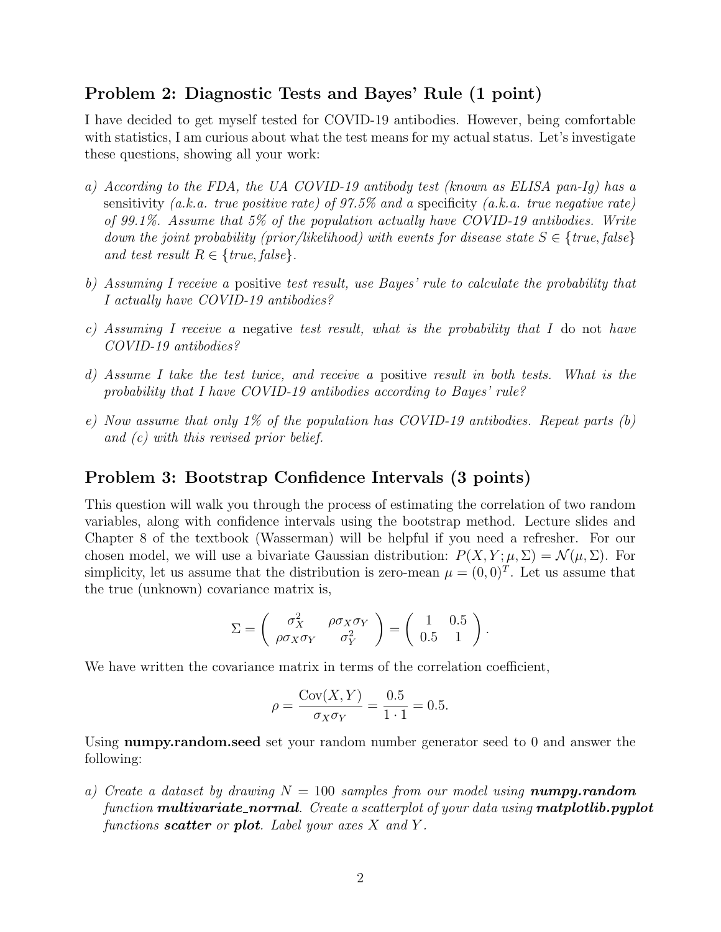## Problem 2: Diagnostic Tests and Bayes' Rule (1 point)

I have decided to get myself tested for COVID-19 antibodies. However, being comfortable with statistics, I am curious about what the test means for my actual status. Let's investigate these questions, showing all your work:

- a) According to the FDA, the UA COVID-19 antibody test (known as ELISA pan-Ig) has a sensitivity (a.k.a. true positive rate) of 97.5% and a specificity (a.k.a. true negative rate) of 99.1%. Assume that 5% of the population actually have COVID-19 antibodies. Write down the joint probability (prior/likelihood) with events for disease state  $S \in \{true, false\}$ and test result  $R \in \{true, false\}$ .
- b) Assuming I receive a positive test result, use Bayes' rule to calculate the probability that I actually have COVID-19 antibodies?
- c) Assuming I receive a negative test result, what is the probability that I do not have COVID-19 antibodies?
- d) Assume I take the test twice, and receive a positive result in both tests. What is the probability that I have COVID-19 antibodies according to Bayes' rule?
- e) Now assume that only 1% of the population has COVID-19 antibodies. Repeat parts  $(b)$ and (c) with this revised prior belief.

## Problem 3: Bootstrap Confidence Intervals (3 points)

This question will walk you through the process of estimating the correlation of two random variables, along with confidence intervals using the bootstrap method. Lecture slides and Chapter 8 of the textbook (Wasserman) will be helpful if you need a refresher. For our chosen model, we will use a bivariate Gaussian distribution:  $P(X, Y; \mu, \Sigma) = \mathcal{N}(\mu, \Sigma)$ . For simplicity, let us assume that the distribution is zero-mean  $\mu = (0,0)^T$ . Let us assume that the true (unknown) covariance matrix is,

$$
\Sigma = \begin{pmatrix} \sigma_X^2 & \rho \sigma_X \sigma_Y \\ \rho \sigma_X \sigma_Y & \sigma_Y^2 \end{pmatrix} = \begin{pmatrix} 1 & 0.5 \\ 0.5 & 1 \end{pmatrix}.
$$

We have written the covariance matrix in terms of the correlation coefficient,

$$
\rho = \frac{\text{Cov}(X, Y)}{\sigma_X \sigma_Y} = \frac{0.5}{1 \cdot 1} = 0.5.
$$

Using numpy.random.seed set your random number generator seed to 0 and answer the following:

a) Create a dataset by drawing  $N = 100$  samples from our model using **numpy.random** function **multivariate\_normal**. Create a scatterplot of your data using **matplotlib.pyplot** functions scatter or plot. Label your axes  $X$  and  $Y$ .